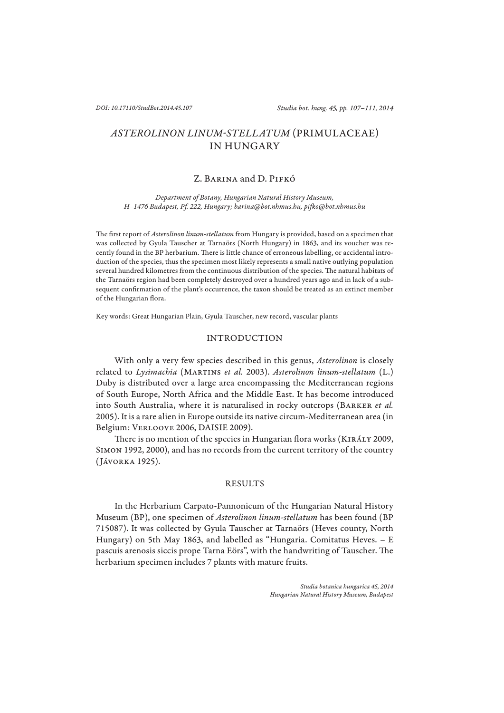# *ASTEROLINON LINUM-STELLATUM* (PRIMULACEAE) IN HUNGARY

## Z. Barina and D. Pifkó

*Department of Botany, Hungarian Natural History Museum, H–1476 Budapest, Pf. 222, Hungary; barina@bot.nhmus.hu, pifk o@bot.nhmus.hu*

The first report of Asterolinon linum-stellatum from Hungary is provided, based on a specimen that was collected by Gyula Tauscher at Tarnaörs (North Hungary) in 1863, and its voucher was recently found in the BP herbarium. There is little chance of erroneous labelling, or accidental introduction of the species, thus the specimen most likely represents a small native outlying population several hundred kilometres from the continuous distribution of the species. The natural habitats of the Tarnaörs region had been completely destroyed over a hundred years ago and in lack of a subsequent confirmation of the plant's occurrence, the taxon should be treated as an extinct member of the Hungarian flora.

Key words: Great Hungarian Plain, Gyula Tauscher, new record, vascular plants

## INTRODUCTION

With only a very few species described in this genus, *Asterolinon* is closely related to *Lysimachia* (Martins *et al.* 2003). *Asterolinon linum-stellatum* (L.) Duby is distributed over a large area encompassing the Mediterranean regions of South Europe, North Africa and the Middle East. It has become introduced into South Australia, where it is naturalised in rocky outcrops (BARKER et al. 2005). It is a rare alien in Europe outside its native circum-Mediterranean area (in Belgium: Verloove 2006, DAISIE 2009).

There is no mention of the species in Hungarian flora works (KIRÁLY 2009, Simon 1992, 2000), and has no records from the current territory of the country (Jávorka 1925).

### RESULTS

In the Herbarium Carpato-Pannonicum of the Hungarian Natural History Museum (BP), one specimen of *Asterolinon linum-stellatum* has been found (BP 715087). It was collected by Gyula Tauscher at Tarnaörs (Heves county, North Hungary) on 5th May 1863, and labelled as "Hungaria. Comitatus Heves. – E pascuis arenosis siccis prope Tarna Eörs", with the handwriting of Tauscher. The herbarium specimen includes 7 plants with mature fruits.

> *Studia botanica hungarica 45, 2014 Hungarian Natural History Museum, Budapest*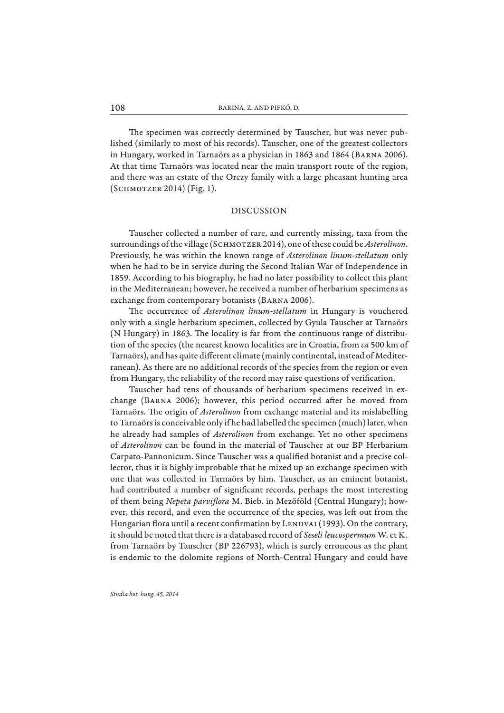The specimen was correctly determined by Tauscher, but was never published (similarly to most of his records). Tauscher, one of the greatest collectors in Hungary, worked in Tarnaörs as a physician in 1863 and 1864 (Barna 2006). At that time Tarnaörs was located near the main transport route of the region, and there was an estate of the Orczy family with a large pheasant hunting area (Schmotzer 2014) (Fig. 1).

## DISCUSSION

Tauscher collected a number of rare, and currently missing, taxa from the surroundings of the village (SCHMOTZER 2014), one of these could be *Asterolinon*. Previously, he was within the known range of *Asterolinon linum-stellatum* only when he had to be in service during the Second Italian War of Independence in 1859. According to his biography, he had no later possibility to collect this plant in the Mediterranean; however, he received a number of herbarium specimens as exchange from contemporary botanists (Barna 2006).

The occurrence of *Asterolinon linum-stellatum* in Hungary is vouchered only with a single herbarium specimen, collected by Gyula Tauscher at Tarnaörs (N Hungary) in 1863. The locality is far from the continuous range of distribution of the species (the nearest known localities are in Croatia, from *ca* 500 km of Tarnaörs), and has quite different climate (mainly continental, instead of Mediterranean). As there are no additional records of the species from the region or even from Hungary, the reliability of the record may raise questions of verification.

Tauscher had tens of thousands of herbarium specimens received in exchange (BARNA 2006); however, this period occurred after he moved from Tarnaörs. The origin of *Asterolinon* from exchange material and its mislabelling to Tarnaörs is conceivable only if he had labelled the specimen (much) later, when he already had samples of *Asterolinon* from exchange. Yet no other specimens of *Asterolinon* can be found in the material of Tauscher at our BP Herbarium Carpato-Pannonicum. Since Tauscher was a qualified botanist and a precise collector, thus it is highly improbable that he mixed up an exchange specimen with one that was collected in Tarnaörs by him. Tauscher, as an eminent botanist, had contributed a number of significant records, perhaps the most interesting of them being *Nepeta parvifl ora* M. Bieb. in Mezőföld (Central Hungary); however, this record, and even the occurrence of the species, was left out from the Hungarian flora until a recent confirmation by LENDVAI (1993). On the contrary, it should be noted that there is a databased record of *Seseli leucospermum* W. et K. from Tarnaörs by Tauscher (BP 226793), which is surely erroneous as the plant is endemic to the dolomite regions of North-Central Hungary and could have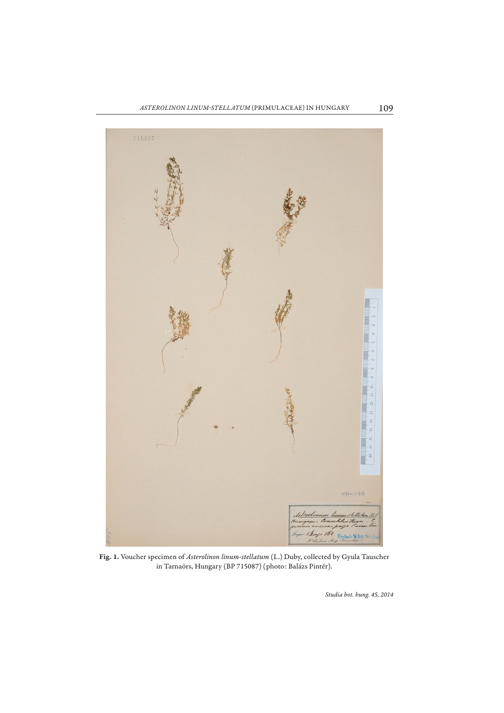

**Fig. 1.** Voucher specimen of *Asterolinon linum-stellatum* (L.) Duby, collected by Gyula Tauscher in Tarnaörs, Hungary (BP 715087) (photo: Balázs Pintér).

*Studia bot. hung. 45, 2014*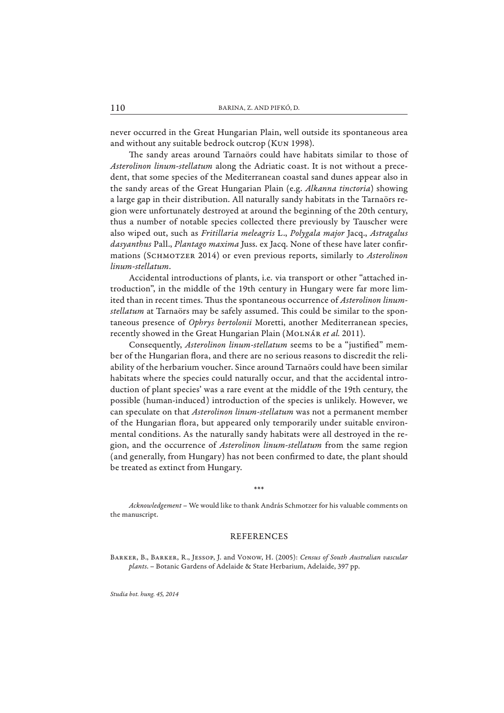never occurred in the Great Hungarian Plain, well outside its spontaneous area and without any suitable bedrock outcrop (Kun 1998).

The sandy areas around Tarnaörs could have habitats similar to those of *Asterolinon linum-stellatum* along the Adriatic coast. It is not without a precedent, that some species of the Mediterranean coastal sand dunes appear also in the sandy areas of the Great Hungarian Plain (e.g. *Alkanna tinctoria*) showing a large gap in their distribution. All naturally sandy habitats in the Tarnaörs region were unfortunately destroyed at around the beginning of the 20th century, thus a number of notable species collected there previously by Tauscher were also wiped out, such as *Fritillaria meleagris* L., *Polygala major* Jacq., *Astragalus dasyanthus* Pall., *Plantago maxima* Juss. ex Jacq. None of these have later confirmations (Schmotzer 2014) or even previous reports, similarly to *Asterolinon linum-stellatum*.

Accidental introductions of plants, i.e. via transport or other "attached introduction", in the middle of the 19th century in Hungary were far more limited than in recent times. Thus the spontaneous occurrence of *Asterolinon linumstellatum* at Tarnaörs may be safely assumed. This could be similar to the spontaneous presence of *Ophrys bertolonii* Moretti, another Mediterranean species, recently showed in the Great Hungarian Plain (Molnár *et al.* 2011).

Consequently, *Asterolinon linum-stellatum* seems to be a "justified" member of the Hungarian flora, and there are no serious reasons to discredit the reliability of the herbarium voucher. Since around Tarnaörs could have been similar habitats where the species could naturally occur, and that the accidental introduction of plant species' was a rare event at the middle of the 19th century, the possible (human-induced) introduction of the species is unlikely. However, we can speculate on that *Asterolinon linum-stellatum* was not a permanent member of the Hungarian flora, but appeared only temporarily under suitable environmental conditions. As the naturally sandy habitats were all destroyed in the region, and the occurrence of *Asterolinon linum-stellatum* from the same region (and generally, from Hungary) has not been confirmed to date, the plant should be treated as extinct from Hungary.

*Acknowledgement* – We would like to thank András Schmotzer for his valuable comments on the manuscript.

\*\*\*

#### REFERENCES

Barker, B., Barker, R., Jessop, J. and Vonow, H. (2005): *Census of South Australian vascular plants*. – Botanic Gardens of Adelaide & State Herbarium, Adelaide, 397 pp.

*Studia bot. hung. 45, 2014*